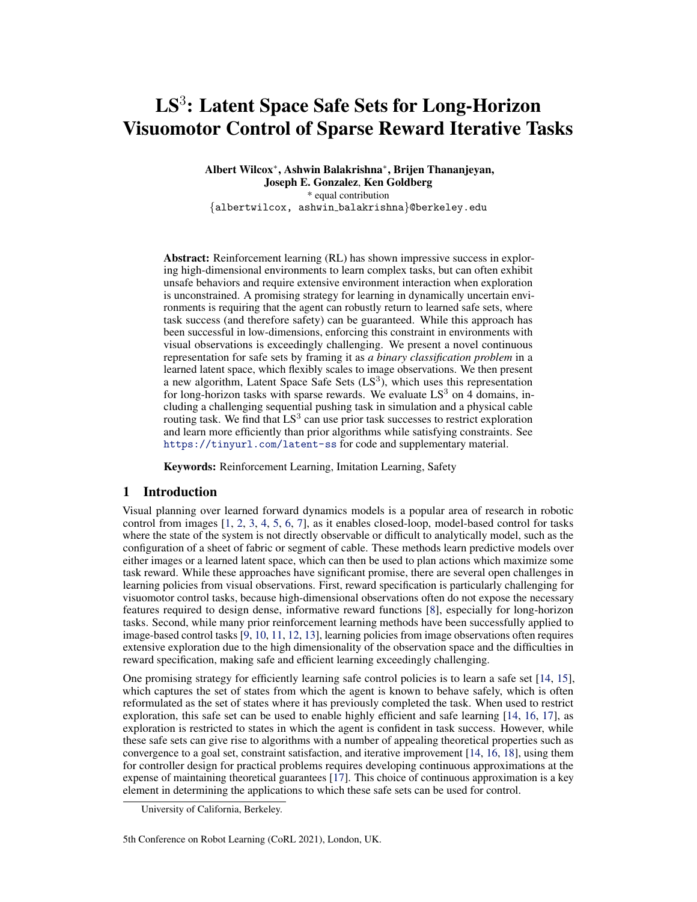# $\mathrm{LS}^3$ : Latent Space Safe Sets for Long-Horizon Visuomotor Control of Sparse Reward Iterative Tasks

Albert Wilcox<sup>∗</sup> , Ashwin Balakrishna<sup>∗</sup> , Brijen Thananjeyan, Joseph E. Gonzalez, Ken Goldberg \* equal contribution {albertwilcox, ashwin balakrishna}@berkeley.edu

Abstract: Reinforcement learning (RL) has shown impressive success in exploring high-dimensional environments to learn complex tasks, but can often exhibit unsafe behaviors and require extensive environment interaction when exploration is unconstrained. A promising strategy for learning in dynamically uncertain environments is requiring that the agent can robustly return to learned safe sets, where task success (and therefore safety) can be guaranteed. While this approach has been successful in low-dimensions, enforcing this constraint in environments with visual observations is exceedingly challenging. We present a novel continuous representation for safe sets by framing it as *a binary classification problem* in a learned latent space, which flexibly scales to image observations. We then present a new algorithm, Latent Space Safe Sets  $(LS<sup>3</sup>)$ , which uses this representation for long-horizon tasks with sparse rewards. We evaluate  $LS<sup>3</sup>$  on 4 domains, including a challenging sequential pushing task in simulation and a physical cable routing task. We find that  $LS^3$  can use prior task successes to restrict exploration and learn more efficiently than prior algorithms while satisfying constraints. See <https://tinyurl.com/latent-ss> for code and supplementary material.

Keywords: Reinforcement Learning, Imitation Learning, Safety

# 1 Introduction

Visual planning over learned forward dynamics models is a popular area of research in robotic control from images [\[1,](#page-8-0) [2,](#page-8-0) [3,](#page-8-0) [4,](#page-8-0) [5,](#page-8-0) [6,](#page-8-0) [7\]](#page-8-0), as it enables closed-loop, model-based control for tasks where the state of the system is not directly observable or difficult to analytically model, such as the configuration of a sheet of fabric or segment of cable. These methods learn predictive models over either images or a learned latent space, which can then be used to plan actions which maximize some task reward. While these approaches have significant promise, there are several open challenges in learning policies from visual observations. First, reward specification is particularly challenging for visuomotor control tasks, because high-dimensional observations often do not expose the necessary features required to design dense, informative reward functions [\[8\]](#page-8-0), especially for long-horizon tasks. Second, while many prior reinforcement learning methods have been successfully applied to image-based control tasks [\[9,](#page-8-0) [10,](#page-8-0) [11,](#page-8-0) [12,](#page-8-0) [13\]](#page-8-0), learning policies from image observations often requires extensive exploration due to the high dimensionality of the observation space and the difficulties in reward specification, making safe and efficient learning exceedingly challenging.

One promising strategy for efficiently learning safe control policies is to learn a safe set [\[14,](#page-8-0) [15\]](#page-8-0), which captures the set of states from which the agent is known to behave safely, which is often reformulated as the set of states where it has previously completed the task. When used to restrict exploration, this safe set can be used to enable highly efficient and safe learning [\[14,](#page-8-0) [16,](#page-9-0) [17\]](#page-9-0), as exploration is restricted to states in which the agent is confident in task success. However, while these safe sets can give rise to algorithms with a number of appealing theoretical properties such as convergence to a goal set, constraint satisfaction, and iterative improvement [\[14,](#page-8-0) [16,](#page-9-0) [18\]](#page-9-0), using them for controller design for practical problems requires developing continuous approximations at the expense of maintaining theoretical guarantees [\[17\]](#page-9-0). This choice of continuous approximation is a key element in determining the applications to which these safe sets can be used for control.

University of California, Berkeley.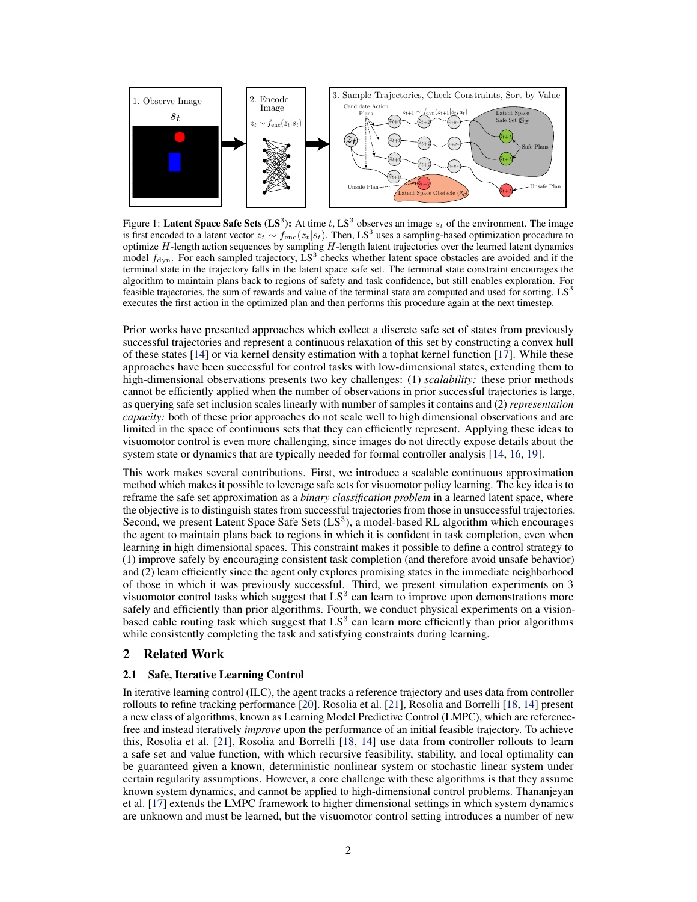

Figure 1: Latent Space Safe Sets (LS<sup>3</sup>): At time t, LS<sup>3</sup> observes an image  $s_t$  of the environment. The image is first encoded to a latent vector  $z_t \sim f_{\text{enc}}(z_t|s_t)$ . Then, LS<sup>3</sup> uses a sampling-based optimization procedure to optimize  $H$ -length action sequences by sampling  $H$ -length latent trajectories over the learned latent dynamics model  $f_{\text{dyn}}$ . For each sampled trajectory, LS<sup>3</sup> checks whether latent space obstacles are avoided and if the terminal state in the trajectory falls in the latent space safe set. The terminal state constraint encourages the algorithm to maintain plans back to regions of safety and task confidence, but still enables exploration. For feasible trajectories, the sum of rewards and value of the terminal state are computed and used for sorting.  $LS<sup>3</sup>$ executes the first action in the optimized plan and then performs this procedure again at the next timestep.

Prior works have presented approaches which collect a discrete safe set of states from previously successful trajectories and represent a continuous relaxation of this set by constructing a convex hull of these states [\[14\]](#page-8-0) or via kernel density estimation with a tophat kernel function [\[17\]](#page-9-0). While these approaches have been successful for control tasks with low-dimensional states, extending them to high-dimensional observations presents two key challenges: (1) *scalability:* these prior methods cannot be efficiently applied when the number of observations in prior successful trajectories is large, as querying safe set inclusion scales linearly with number of samples it contains and (2) *representation capacity:* both of these prior approaches do not scale well to high dimensional observations and are limited in the space of continuous sets that they can efficiently represent. Applying these ideas to visuomotor control is even more challenging, since images do not directly expose details about the system state or dynamics that are typically needed for formal controller analysis [\[14,](#page-8-0) [16,](#page-9-0) [19\]](#page-9-0).

This work makes several contributions. First, we introduce a scalable continuous approximation method which makes it possible to leverage safe sets for visuomotor policy learning. The key idea is to reframe the safe set approximation as a *binary classification problem* in a learned latent space, where the objective is to distinguish states from successful trajectories from those in unsuccessful trajectories. Second, we present Latent Space Safe Sets  $(LS<sup>3</sup>)$ , a model-based RL algorithm which encourages the agent to maintain plans back to regions in which it is confident in task completion, even when learning in high dimensional spaces. This constraint makes it possible to define a control strategy to (1) improve safely by encouraging consistent task completion (and therefore avoid unsafe behavior) and (2) learn efficiently since the agent only explores promising states in the immediate neighborhood of those in which it was previously successful. Third, we present simulation experiments on 3 visuomotor control tasks which suggest that  $LS<sup>3</sup>$  can learn to improve upon demonstrations more safely and efficiently than prior algorithms. Fourth, we conduct physical experiments on a visionbased cable routing task which suggest that  $LS<sup>3</sup>$  can learn more efficiently than prior algorithms while consistently completing the task and satisfying constraints during learning.

# 2 Related Work

#### 2.1 Safe, Iterative Learning Control

In iterative learning control (ILC), the agent tracks a reference trajectory and uses data from controller rollouts to refine tracking performance [\[20\]](#page-9-0). Rosolia et al. [\[21\]](#page-9-0), Rosolia and Borrelli [\[18,](#page-9-0) [14\]](#page-8-0) present a new class of algorithms, known as Learning Model Predictive Control (LMPC), which are referencefree and instead iteratively *improve* upon the performance of an initial feasible trajectory. To achieve this, Rosolia et al. [\[21\]](#page-9-0), Rosolia and Borrelli [\[18,](#page-9-0) [14\]](#page-8-0) use data from controller rollouts to learn a safe set and value function, with which recursive feasibility, stability, and local optimality can be guaranteed given a known, deterministic nonlinear system or stochastic linear system under certain regularity assumptions. However, a core challenge with these algorithms is that they assume known system dynamics, and cannot be applied to high-dimensional control problems. Thananjeyan et al. [\[17\]](#page-9-0) extends the LMPC framework to higher dimensional settings in which system dynamics are unknown and must be learned, but the visuomotor control setting introduces a number of new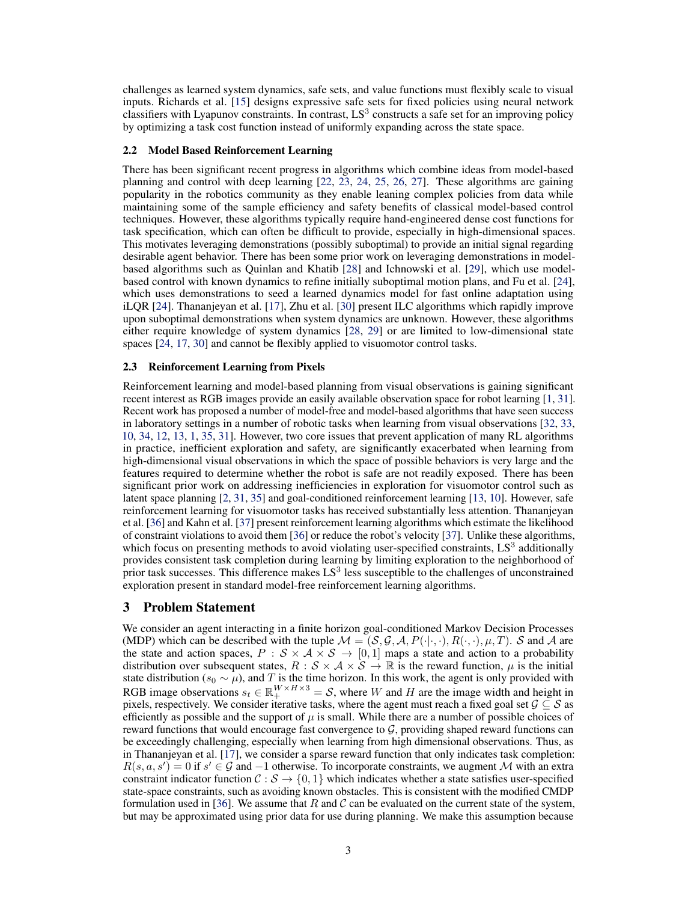<span id="page-2-0"></span>challenges as learned system dynamics, safe sets, and value functions must flexibly scale to visual inputs. Richards et al. [\[15\]](#page-8-0) designs expressive safe sets for fixed policies using neural network classifiers with Lyapunov constraints. In contrast,  $LS<sup>3</sup>$  constructs a safe set for an improving policy by optimizing a task cost function instead of uniformly expanding across the state space.

#### 2.2 Model Based Reinforcement Learning

There has been significant recent progress in algorithms which combine ideas from model-based planning and control with deep learning [\[22,](#page-9-0) [23,](#page-9-0) [24,](#page-9-0) [25,](#page-9-0) [26,](#page-9-0) [27\]](#page-9-0). These algorithms are gaining popularity in the robotics community as they enable leaning complex policies from data while maintaining some of the sample efficiency and safety benefits of classical model-based control techniques. However, these algorithms typically require hand-engineered dense cost functions for task specification, which can often be difficult to provide, especially in high-dimensional spaces. This motivates leveraging demonstrations (possibly suboptimal) to provide an initial signal regarding desirable agent behavior. There has been some prior work on leveraging demonstrations in modelbased algorithms such as Quinlan and Khatib [\[28\]](#page-9-0) and Ichnowski et al. [\[29\]](#page-9-0), which use modelbased control with known dynamics to refine initially suboptimal motion plans, and Fu et al. [\[24\]](#page-9-0), which uses demonstrations to seed a learned dynamics model for fast online adaptation using iLQR [\[24\]](#page-9-0). Thananjeyan et al. [\[17\]](#page-9-0), Zhu et al. [\[30\]](#page-9-0) present ILC algorithms which rapidly improve upon suboptimal demonstrations when system dynamics are unknown. However, these algorithms either require knowledge of system dynamics [\[28,](#page-9-0) [29\]](#page-9-0) or are limited to low-dimensional state spaces [\[24,](#page-9-0) [17,](#page-9-0) [30\]](#page-9-0) and cannot be flexibly applied to visuomotor control tasks.

#### 2.3 Reinforcement Learning from Pixels

Reinforcement learning and model-based planning from visual observations is gaining significant recent interest as RGB images provide an easily available observation space for robot learning [\[1,](#page-8-0) [31\]](#page-9-0). Recent work has proposed a number of model-free and model-based algorithms that have seen success in laboratory settings in a number of robotic tasks when learning from visual observations [\[32,](#page-9-0) [33,](#page-9-0) [10,](#page-8-0) [34,](#page-9-0) [12,](#page-8-0) [13,](#page-8-0) [1,](#page-8-0) [35,](#page-10-0) [31\]](#page-9-0). However, two core issues that prevent application of many RL algorithms in practice, inefficient exploration and safety, are significantly exacerbated when learning from high-dimensional visual observations in which the space of possible behaviors is very large and the features required to determine whether the robot is safe are not readily exposed. There has been significant prior work on addressing inefficiencies in exploration for visuomotor control such as latent space planning [\[2,](#page-8-0) [31,](#page-9-0) [35\]](#page-10-0) and goal-conditioned reinforcement learning [\[13,](#page-8-0) [10\]](#page-8-0). However, safe reinforcement learning for visuomotor tasks has received substantially less attention. Thananjeyan et al. [\[36\]](#page-10-0) and Kahn et al. [\[37\]](#page-10-0) present reinforcement learning algorithms which estimate the likelihood of constraint violations to avoid them [\[36\]](#page-10-0) or reduce the robot's velocity [\[37\]](#page-10-0). Unlike these algorithms, which focus on presenting methods to avoid violating user-specified constraints, LS3 additionally provides consistent task completion during learning by limiting exploration to the neighborhood of prior task successes. This difference makes  $LS<sup>3</sup>$  less susceptible to the challenges of unconstrained exploration present in standard model-free reinforcement learning algorithms.

# 3 Problem Statement

We consider an agent interacting in a finite horizon goal-conditioned Markov Decision Processes (MDP) which can be described with the tuple  $\mathcal{M} = (\mathcal{S}, \mathcal{G}, \mathcal{A}, P(\cdot|\cdot,\cdot), R(\cdot,\cdot), \mu, T)$ . S and A are the state and action spaces,  $P : \mathcal{S} \times \mathcal{A} \times \mathcal{S} \rightarrow [0,1]$  maps a state and action to a probability distribution over subsequent states,  $R : S \times A \times S \to \mathbb{R}$  is the reward function,  $\mu$  is the initial state distribution ( $s_0 \sim \mu$ ), and T is the time horizon. In this work, the agent is only provided with RGB image observations  $s_t \in \mathbb{R}_+^{W \times H \times 3} = \mathcal{S}$ , where W and H are the image width and height in pixels, respectively. We consider iterative tasks, where the agent must reach a fixed goal set  $\mathcal{G} \subseteq \mathcal{S}$  as efficiently as possible and the support of  $\mu$  is small. While there are a number of possible choices of reward functions that would encourage fast convergence to  $G$ , providing shaped reward functions can be exceedingly challenging, especially when learning from high dimensional observations. Thus, as in Thananjeyan et al. [\[17\]](#page-9-0), we consider a sparse reward function that only indicates task completion:  $R(s, a, s') = 0$  if  $s' \in \mathcal{G}$  and  $-1$  otherwise. To incorporate constraints, we augment M with an extra constraint indicator function  $\mathcal{C}: \mathcal{S} \to \{0, 1\}$  which indicates whether a state satisfies user-specified state-space constraints, such as avoiding known obstacles. This is consistent with the modified CMDP formulation used in [\[36\]](#page-10-0). We assume that R and C can be evaluated on the current state of the system, but may be approximated using prior data for use during planning. We make this assumption because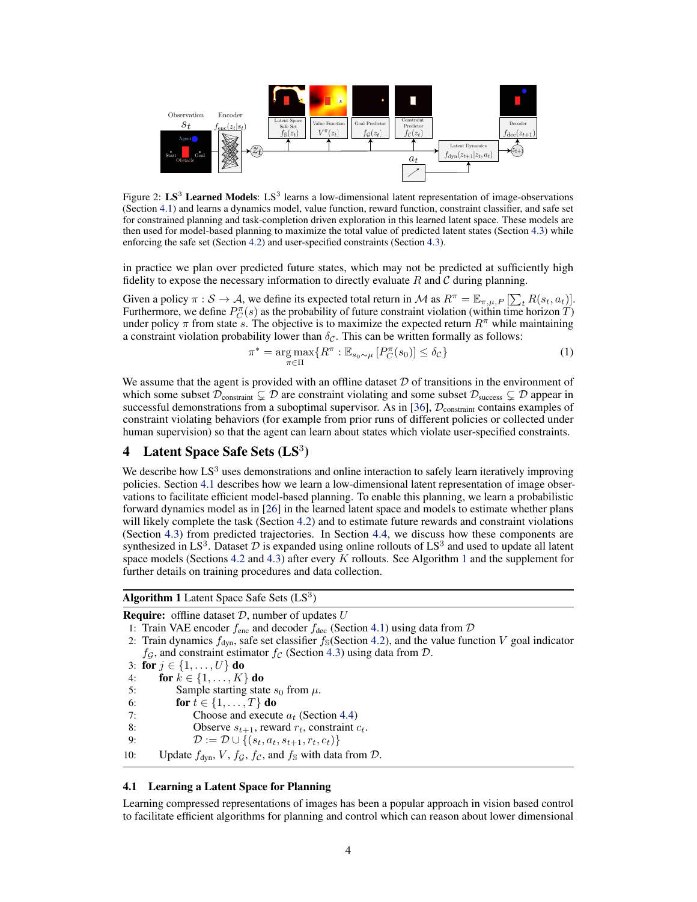<span id="page-3-0"></span>

Figure 2:  $LS^3$  Learned Models:  $LS^3$  learns a low-dimensional latent representation of image-observations (Section 4.1) and learns a dynamics model, value function, reward function, constraint classifier, and safe set for constrained planning and task-completion driven exploration in this learned latent space. These models are then used for model-based planning to maximize the total value of predicted latent states (Section [4.3\)](#page-4-0) while enforcing the safe set (Section [4.2\)](#page-4-0) and user-specified constraints (Section [4.3\)](#page-4-0).

in practice we plan over predicted future states, which may not be predicted at sufficiently high fidelity to expose the necessary information to directly evaluate  $R$  and  $C$  during planning.

Given a policy  $\pi : \mathcal{S} \to \mathcal{A}$ , we define its expected total return in M as  $R^{\pi} = \mathbb{E}_{\pi,\mu,P} [\sum_t R(s_t, a_t)].$ Furthermore, we define  $P_C^{\pi}(s)$  as the probability of future constraint violation (within time horizon  $\hat{T}$ ) under policy  $\pi$  from state s. The objective is to maximize the expected return  $R^{\pi}$  while maintaining a constraint violation probability lower than  $\delta_{\mathcal{C}}$ . This can be written formally as follows:

$$
\pi^* = \underset{\pi \in \Pi}{\arg \max} \{ R^{\pi} : \mathbb{E}_{s_0 \sim \mu} \left[ P_C^{\pi}(s_0) \right] \le \delta_C \}
$$
\n(1)

We assume that the agent is provided with an offline dataset  $D$  of transitions in the environment of which some subset  $\mathcal{D}_{\text{constraint}} \subsetneq \mathcal{D}$  are constraint violating and some subset  $\mathcal{D}_{\text{success}} \subsetneq \mathcal{D}$  appear in successful demonstrations from a suboptimal supervisor. As in [\[36\]](#page-10-0),  $\mathcal{D}_{\text{constraint}}$  contains examples of constraint violating behaviors (for example from prior runs of different policies or collected under human supervision) so that the agent can learn about states which violate user-specified constraints.

# 4 Latent Space Safe Sets  $(LS<sup>3</sup>)$

We describe how  $LS<sup>3</sup>$  uses demonstrations and online interaction to safely learn iteratively improving policies. Section 4.1 describes how we learn a low-dimensional latent representation of image observations to facilitate efficient model-based planning. To enable this planning, we learn a probabilistic forward dynamics model as in [\[26\]](#page-9-0) in the learned latent space and models to estimate whether plans will likely complete the task (Section [4.2\)](#page-4-0) and to estimate future rewards and constraint violations (Section [4.3\)](#page-4-0) from predicted trajectories. In Section [4.4,](#page-4-0) we discuss how these components are synthesized in LS<sup>3</sup>. Dataset  $D$  is expanded using online rollouts of LS<sup>3</sup> and used to update all latent space models (Sections [4.2](#page-4-0) and [4.3\)](#page-4-0) after every  $K$  rollouts. See Algorithm 1 and the supplement for further details on training procedures and data collection.

Algorithm 1 Latent Space Safe Sets  $(LS<sup>3</sup>)$ 

**Require:** offline dataset  $D$ , number of updates  $U$ 

- 2: Train dynamics  $f_{dyn}$ , safe set classifier  $f_{S}$ (Section [4.2\)](#page-4-0), and the value function V goal indicator  $f_{\mathcal{G}}$ , and constraint estimator  $f_{\mathcal{C}}$  (Section [4.3\)](#page-4-0) using data from  $\mathcal{D}$ .
- 3: for  $j \in \{1, ..., U\}$  do
- 4: **for**  $k \in \{1, ..., K\}$  **do**
- 5: Sample starting state  $s_0$  from  $\mu$ .
- 6: for  $t \in \{1, \ldots, T\}$  do

7: Choose and execute  $a_t$  (Section [4.4\)](#page-4-0)<br>8: Observe  $s_{t+1}$ , reward  $r_t$ , constraint  $\alpha$ 

- Observe  $s_{t+1}$ , reward  $r_t$ , constraint  $c_t$ .
- 9:  $\mathcal{D} := \mathcal{D} \cup \{(s_t, a_t, s_{t+1}, r_t, c_t)\}\$

10: Update  $f_{dyn}$ ,  $V$ ,  $f_g$ ,  $f_c$ , and  $f_s$  with data from  $D$ .

### 4.1 Learning a Latent Space for Planning

Learning compressed representations of images has been a popular approach in vision based control to facilitate efficient algorithms for planning and control which can reason about lower dimensional

<sup>1:</sup> Train VAE encoder  $f_{\text{enc}}$  and decoder  $f_{\text{dec}}$  (Section 4.1) using data from  $D$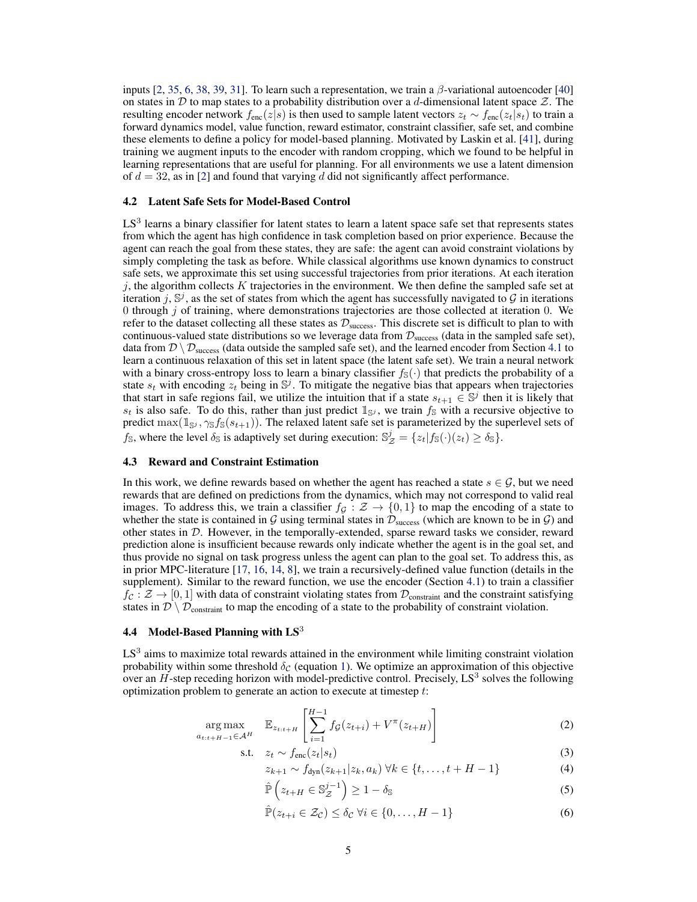<span id="page-4-0"></span>inputs [\[2,](#page-8-0) [35,](#page-10-0) [6,](#page-8-0) [38,](#page-10-0) [39,](#page-10-0) [31\]](#page-9-0). To learn such a representation, we train a  $\beta$ -variational autoencoder [\[40\]](#page-10-0) on states in D to map states to a probability distribution over a d-dimensional latent space  $\mathcal{Z}$ . The resulting encoder network  $f_{\text{enc}}(z|s)$  is then used to sample latent vectors  $z_t \sim f_{\text{enc}}(z_t|s_t)$  to train a forward dynamics model, value function, reward estimator, constraint classifier, safe set, and combine these elements to define a policy for model-based planning. Motivated by Laskin et al. [\[41\]](#page-10-0), during training we augment inputs to the encoder with random cropping, which we found to be helpful in learning representations that are useful for planning. For all environments we use a latent dimension of  $d = 32$ , as in [\[2\]](#page-8-0) and found that varying d did not significantly affect performance.

#### 4.2 Latent Safe Sets for Model-Based Control

LS<sup>3</sup> learns a binary classifier for latent states to learn a latent space safe set that represents states from which the agent has high confidence in task completion based on prior experience. Because the agent can reach the goal from these states, they are safe: the agent can avoid constraint violations by simply completing the task as before. While classical algorithms use known dynamics to construct safe sets, we approximate this set using successful trajectories from prior iterations. At each iteration  $j$ , the algorithm collects K trajectories in the environment. We then define the sampled safe set at iteration j,  $\mathbb{S}^j$ , as the set of states from which the agent has successfully navigated to  $\mathcal G$  in iterations 0 through  $j$  of training, where demonstrations trajectories are those collected at iteration 0. We refer to the dataset collecting all these states as  $\mathcal{D}_{\text{success}}$ . This discrete set is difficult to plan to with continuous-valued state distributions so we leverage data from  $\mathcal{D}_{\text{success}}$  (data in the sampled safe set), data from  $\mathcal{D} \setminus \mathcal{D}_{\text{success}}$  (data outside the sampled safe set), and the learned encoder from Section [4.1](#page-3-0) to learn a continuous relaxation of this set in latent space (the latent safe set). We train a neural network with a binary cross-entropy loss to learn a binary classifier  $f_{\mathbb{S}}(\cdot)$  that predicts the probability of a state  $s_t$  with encoding  $z_t$  being in  $\mathbb{S}^j$ . To mitigate the negative bias that appears when trajectories that start in safe regions fail, we utilize the intuition that if a state  $s_{t+1} \in \mathbb{S}^j$  then it is likely that  $s_t$  is also safe. To do this, rather than just predict  $\mathbb{1}_{\mathbb{S}^j}$ , we train  $f_{\mathbb{S}}$  with a recursive objective to predict  $\max(\mathbb{1}_{\mathbb{S}^j}, \gamma_{\mathbb{S}} f_{\mathbb{S}}(s_{t+1}))$ . The relaxed latent safe set is parameterized by the superlevel sets of  $f_{\mathbb{S}}$ , where the level  $\delta_{\mathbb{S}}$  is adaptively set during execution:  $\mathbb{S}_{\mathcal{Z}}^{j} = \{z_t | f_{\mathbb{S}}(\cdot)(z_t) \ge \delta_{\mathbb{S}}\}.$ 

#### 4.3 Reward and Constraint Estimation

In this work, we define rewards based on whether the agent has reached a state  $s \in \mathcal{G}$ , but we need rewards that are defined on predictions from the dynamics, which may not correspond to valid real images. To address this, we train a classifier  $f_G : \mathcal{Z} \to \{0,1\}$  to map the encoding of a state to whether the state is contained in  $G$  using terminal states in  $\mathcal{D}_{\text{success}}$  (which are known to be in  $G$ ) and other states in D. However, in the temporally-extended, sparse reward tasks we consider, reward prediction alone is insufficient because rewards only indicate whether the agent is in the goal set, and thus provide no signal on task progress unless the agent can plan to the goal set. To address this, as in prior MPC-literature [\[17,](#page-9-0) [16,](#page-9-0) [14,](#page-8-0) [8\]](#page-8-0), we train a recursively-defined value function (details in the supplement). Similar to the reward function, we use the encoder (Section [4.1\)](#page-3-0) to train a classifier  $f_c : \mathcal{Z} \to [0, 1]$  with data of constraint violating states from  $\mathcal{D}_{\text{constraint}}$  and the constraint satisfying states in  $\mathcal{D} \setminus \mathcal{D}_{\text{constraint}}$  to map the encoding of a state to the probability of constraint violation.

### 4.4 Model-Based Planning with  $LS<sup>3</sup>$

 $LS<sup>3</sup>$  aims to maximize total rewards attained in the environment while limiting constraint violation probability within some threshold  $\delta_c$  (equation [1\)](#page-3-0). We optimize an approximation of this objective over an  $H$ -step receding horizon with model-predictive control. Precisely,  $LS^3$  solves the following optimization problem to generate an action to execute at timestep t:

$$
\underset{a_{t:t+H-1} \in \mathcal{A}^H}{\arg \max} \quad \mathbb{E}_{z_{t:t+H}} \left[ \sum_{i=1}^{H-1} f_{\mathcal{G}}(z_{t+i}) + V^{\pi}(z_{t+H}) \right] \tag{2}
$$

$$
\text{s.t.} \quad z_t \sim f_{\text{enc}}(z_t|s_t) \tag{3}
$$

$$
z_{k+1} \sim f_{\text{dyn}}(z_{k+1}|z_k, a_k) \,\forall k \in \{t, \dots, t + H - 1\}
$$
 (4)

$$
\hat{\mathbb{P}}\left(z_{t+H} \in \mathbb{S}_{\mathcal{Z}}^{j-1}\right) \ge 1 - \delta_{\mathbb{S}}
$$
\n(5)

$$
\hat{\mathbb{P}}(z_{t+i} \in \mathcal{Z}_{\mathcal{C}}) \le \delta_{\mathcal{C}} \,\forall i \in \{0, \dots, H-1\}
$$
\n
$$
(6)
$$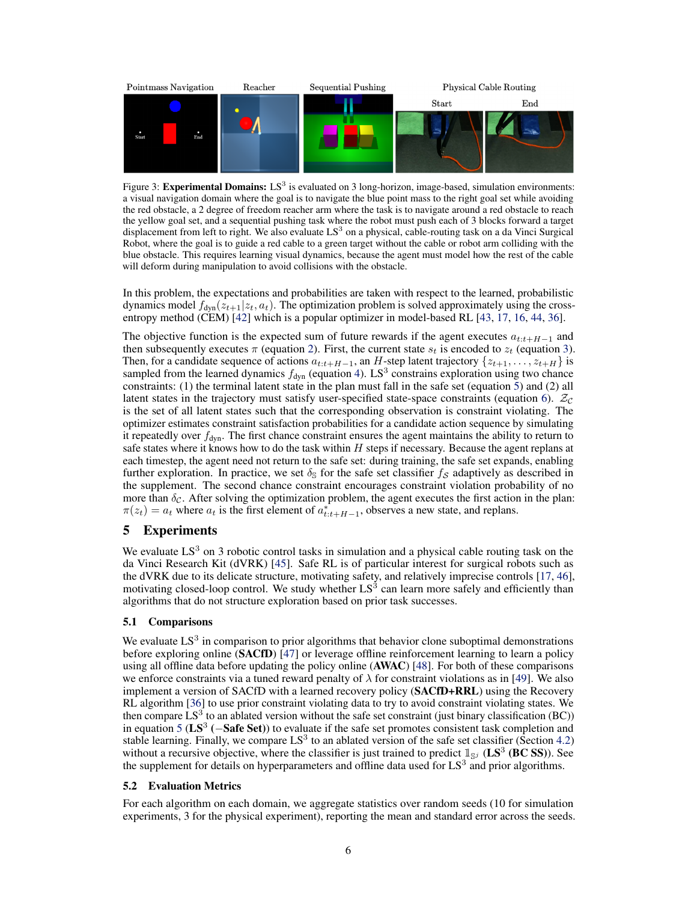<span id="page-5-0"></span>

Figure 3: Experimental Domains:  $LS^3$  is evaluated on 3 long-horizon, image-based, simulation environments: a visual navigation domain where the goal is to navigate the blue point mass to the right goal set while avoiding the red obstacle, a 2 degree of freedom reacher arm where the task is to navigate around a red obstacle to reach the yellow goal set, and a sequential pushing task where the robot must push each of 3 blocks forward a target displacement from left to right. We also evaluate  $LS<sup>3</sup>$  on a physical, cable-routing task on a da Vinci Surgical Robot, where the goal is to guide a red cable to a green target without the cable or robot arm colliding with the blue obstacle. This requires learning visual dynamics, because the agent must model how the rest of the cable will deform during manipulation to avoid collisions with the obstacle.

In this problem, the expectations and probabilities are taken with respect to the learned, probabilistic dynamics model  $f_{dyn}(z_{t+1}|z_t, a_t)$ . The optimization problem is solved approximately using the crossentropy method (CEM) [\[42\]](#page-10-0) which is a popular optimizer in model-based RL [\[43,](#page-10-0) [17,](#page-9-0) [16,](#page-9-0) [44,](#page-10-0) [36\]](#page-10-0).

The objective function is the expected sum of future rewards if the agent executes  $a_{t:t+H-1}$  and then subsequently executes  $\pi$  (equation [2\)](#page-4-0). First, the current state  $s_t$  is encoded to  $z_t$  (equation [3\)](#page-4-0). Then, for a candidate sequence of actions  $a_{t:t+H-1}$ , an H-step latent trajectory  $\{z_{t+1}, \ldots, z_{t+H}\}$  is sampled from the learned dynamics  $f_{dyn}$  (equation [4\)](#page-4-0). LS<sup>3</sup> constrains exploration using two chance constraints: (1) the terminal latent state in the plan must fall in the safe set (equation [5\)](#page-4-0) and (2) all latent states in the trajectory must satisfy user-specified state-space constraints (equation [6\)](#page-4-0).  $\mathcal{Z}_c$ is the set of all latent states such that the corresponding observation is constraint violating. The optimizer estimates constraint satisfaction probabilities for a candidate action sequence by simulating it repeatedly over  $f_{dyn}$ . The first chance constraint ensures the agent maintains the ability to return to safe states where it knows how to do the task within H steps if necessary. Because the agent replans at each timestep, the agent need not return to the safe set: during training, the safe set expands, enabling further exploration. In practice, we set  $\delta_{\rm S}$  for the safe set classifier  $f_{\rm S}$  adaptively as described in the supplement. The second chance constraint encourages constraint violation probability of no more than  $\delta_{\mathcal{C}}$ . After solving the optimization problem, the agent executes the first action in the plan:  $\pi(z_t) = a_t$  where  $a_t$  is the first element of  $a_{t:t+H-1}^*$ , observes a new state, and replans.

# 5 Experiments

We evaluate  $LS<sup>3</sup>$  on 3 robotic control tasks in simulation and a physical cable routing task on the da Vinci Research Kit (dVRK) [\[45\]](#page-10-0). Safe RL is of particular interest for surgical robots such as the dVRK due to its delicate structure, motivating safety, and relatively imprecise controls [\[17,](#page-9-0) [46\]](#page-10-0), motivating closed-loop control. We study whether  $LS<sup>3</sup>$  can learn more safely and efficiently than algorithms that do not structure exploration based on prior task successes.

# 5.1 Comparisons

We evaluate  $LS<sup>3</sup>$  in comparison to prior algorithms that behavior clone suboptimal demonstrations before exploring online (SACfD) [\[47\]](#page-10-0) or leverage offline reinforcement learning to learn a policy using all offline data before updating the policy online  $(AWAC)$  [\[48\]](#page-10-0). For both of these comparisons we enforce constraints via a tuned reward penalty of  $\lambda$  for constraint violations as in [\[49\]](#page-10-0). We also implement a version of SACfD with a learned recovery policy (SACfD+RRL) using the Recovery RL algorithm [\[36\]](#page-10-0) to use prior constraint violating data to try to avoid constraint violating states. We then compare  $LS^3$  to an ablated version without the safe set constraint (just binary classification (BC)) in equation [5](#page-4-0) ( $LS^3$  ( $-Safe Set$ )) to evaluate if the safe set promotes consistent task completion and stable learning. Finally, we compare  $LS<sup>3</sup>$  to an ablated version of the safe set classifier (Section [4.2\)](#page-4-0) without a recursive objective, where the classifier is just trained to predict  $\mathbb{1}_{S^j}$  (LS<sup>3</sup> (BC SS)). See the supplement for details on hyperparameters and offline data used for  $LS<sup>3</sup>$  and prior algorithms.

#### 5.2 Evaluation Metrics

For each algorithm on each domain, we aggregate statistics over random seeds (10 for simulation experiments, 3 for the physical experiment), reporting the mean and standard error across the seeds.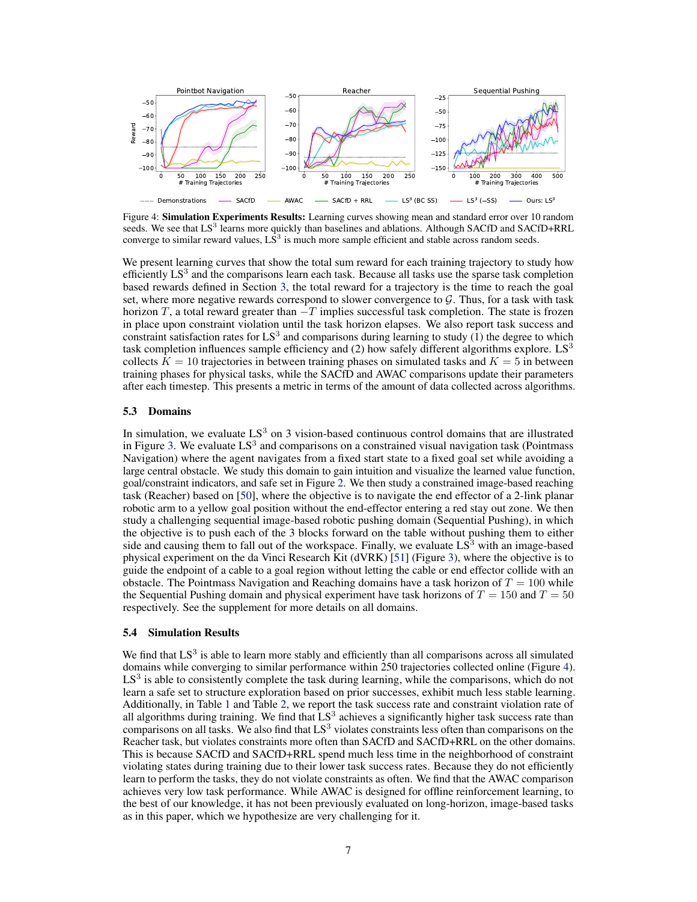

Figure 4: **Simulation Experiments Results:** Learning curves showing mean and standard error over 10 random seeds. We see that LS<sup>3</sup> learns more quickly than baselines and ablations. Although SACfD and SACfD+RRL converge to similar reward values,  $\overline{LS}^3$  is much more sample efficient and stable across random seeds.

We present learning curves that show the total sum reward for each training trajectory to study how efficiently  $LS<sup>3</sup>$  and the comparisons learn each task. Because all tasks use the sparse task completion based rewards defined in Section [3,](#page-2-0) the total reward for a trajectory is the time to reach the goal set, where more negative rewards correspond to slower convergence to  $G$ . Thus, for a task with task horizon T, a total reward greater than  $-T$  implies successful task completion. The state is frozen in place upon constraint violation until the task horizon elapses. We also report task success and constraint satisfaction rates for  $LS^3$  and comparisons during learning to study  $(1)$  the degree to which task completion influences sample efficiency and  $(2)$  how safely different algorithms explore. LS<sup>3</sup> collects  $K = 10$  trajectories in between training phases on simulated tasks and  $K = 5$  in between training phases for physical tasks, while the SACfD and AWAC comparisons update their parameters after each timestep. This presents a metric in terms of the amount of data collected across algorithms.

#### 5.3 Domains

In simulation, we evaluate  $LS<sup>3</sup>$  on 3 vision-based continuous control domains that are illustrated in Figure [3.](#page-5-0) We evaluate  $LS^3$  and comparisons on a constrained visual navigation task (Pointmass Navigation) where the agent navigates from a fixed start state to a fixed goal set while avoiding a large central obstacle. We study this domain to gain intuition and visualize the learned value function, goal/constraint indicators, and safe set in Figure [2.](#page-3-0) We then study a constrained image-based reaching task (Reacher) based on [\[50\]](#page-10-0), where the objective is to navigate the end effector of a 2-link planar robotic arm to a yellow goal position without the end-effector entering a red stay out zone. We then study a challenging sequential image-based robotic pushing domain (Sequential Pushing), in which the objective is to push each of the 3 blocks forward on the table without pushing them to either side and causing them to fall out of the workspace. Finally, we evaluate  $LS<sup>3</sup>$  with an image-based physical experiment on the da Vinci Research Kit (dVRK) [\[51\]](#page-10-0) (Figure [3\)](#page-5-0), where the objective is to guide the endpoint of a cable to a goal region without letting the cable or end effector collide with an obstacle. The Pointmass Navigation and Reaching domains have a task horizon of  $T = 100$  while the Sequential Pushing domain and physical experiment have task horizons of  $T = 150$  and  $T = 50$ respectively. See the supplement for more details on all domains.

# 5.4 Simulation Results

We find that  $LS<sup>3</sup>$  is able to learn more stably and efficiently than all comparisons across all simulated domains while converging to similar performance within 250 trajectories collected online (Figure 4). LS<sup>3</sup> is able to consistently complete the task during learning, while the comparisons, which do not learn a safe set to structure exploration based on prior successes, exhibit much less stable learning. Additionally, in Table [1](#page-7-0) and Table [2,](#page-7-0) we report the task success rate and constraint violation rate of all algorithms during training. We find that  $LS^3$  achieves a significantly higher task success rate than comparisons on all tasks. We also find that  $LS<sup>3</sup>$  violates constraints less often than comparisons on the Reacher task, but violates constraints more often than SACfD and SACfD+RRL on the other domains. This is because SACfD and SACfD+RRL spend much less time in the neighborhood of constraint violating states during training due to their lower task success rates. Because they do not efficiently learn to perform the tasks, they do not violate constraints as often. We find that the AWAC comparison achieves very low task performance. While AWAC is designed for offline reinforcement learning, to the best of our knowledge, it has not been previously evaluated on long-horizon, image-based tasks as in this paper, which we hypothesize are very challenging for it.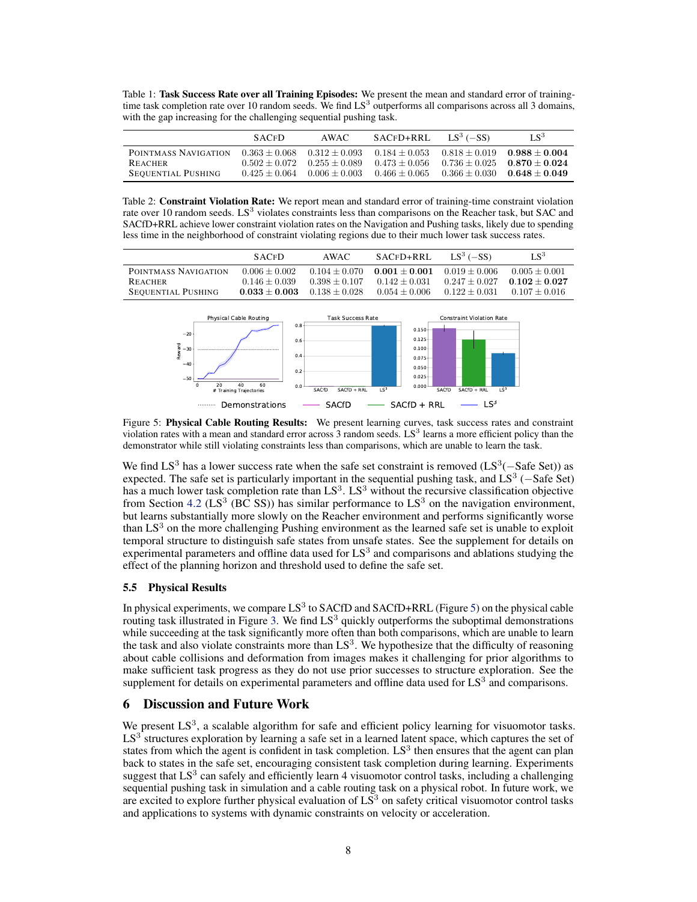<span id="page-7-0"></span>Table 1: Task Success Rate over all Training Episodes: We present the mean and standard error of trainingtime task completion rate over 10 random seeds. We find  $LS<sup>3</sup>$  outperforms all comparisons across all 3 domains, with the gap increasing for the challenging sequential pushing task.

|                           | <b>SACED</b>    | AWAC              | SACFD+RRL       | $LS^3$ ( $-SS$ ) | $LS^3$          |
|---------------------------|-----------------|-------------------|-----------------|------------------|-----------------|
| POINTMASS NAVIGATION      | $0.363 + 0.068$ | $0.312 + 0.093$   | $0.184 + 0.053$ | $0.818 + 0.019$  | $0.988 + 0.004$ |
| REACHER                   | $0.502 + 0.072$ | $0.255 + 0.089$   | $0.473 + 0.056$ | $0.736 + 0.025$  | $0.870 + 0.024$ |
| <b>SEQUENTIAL PUSHING</b> | $0.425 + 0.064$ | $0.006 \pm 0.003$ | $0.466 + 0.065$ | $0.366 + 0.030$  | $0.648 + 0.049$ |

Table 2: Constraint Violation Rate: We report mean and standard error of training-time constraint violation rate over 10 random seeds.  $LS^3$  violates constraints less than comparisons on the Reacher task, but SAC and SACfD+RRL achieve lower constraint violation rates on the Navigation and Pushing tasks, likely due to spending less time in the neighborhood of constraint violating regions due to their much lower task success rates.

|                           | <b>SACED</b>    | AWAC            | SACFD+RRL       | LS <sup>3</sup> $(-SS)$ | $LS^3$          |
|---------------------------|-----------------|-----------------|-----------------|-------------------------|-----------------|
| POINTMASS NAVIGATION      | $0.006 + 0.002$ | $0.104 + 0.070$ | $0.001 + 0.001$ | $0.019 + 0.006$         | $0.005 + 0.001$ |
| <b>REACHER</b>            | $0.146 + 0.039$ | $0.398 + 0.107$ | $0.142 + 0.031$ | $0.247 + 0.027$         | $0.102 + 0.027$ |
| <b>SEQUENTIAL PUSHING</b> | $0.033 + 0.003$ | $0.138 + 0.028$ | $0.054 + 0.006$ | $0.122 + 0.031$         | $0.107 + 0.016$ |



Figure 5: Physical Cable Routing Results: We present learning curves, task success rates and constraint violation rates with a mean and standard error across  $3$  random seeds.  $LS^3$  learns a more efficient policy than the demonstrator while still violating constraints less than comparisons, which are unable to learn the task.

We find  $LS^3$  has a lower success rate when the safe set constraint is removed ( $LS^3$ (-Safe Set)) as expected. The safe set is particularly important in the sequential pushing task, and  $LS^3$  ( $-S$ afe Set) has a much lower task completion rate than  $LS<sup>3</sup>$ .  $LS<sup>3</sup>$  without the recursive classification objective from Section [4.2](#page-4-0) (LS<sup>3</sup> (BC SS)) has similar performance to LS<sup>3</sup> on the navigation environment, but learns substantially more slowly on the Reacher environment and performs significantly worse than  $LS<sup>3</sup>$  on the more challenging Pushing environment as the learned safe set is unable to exploit temporal structure to distinguish safe states from unsafe states. See the supplement for details on experimental parameters and offline data used for  $LS<sup>3</sup>$  and comparisons and ablations studying the effect of the planning horizon and threshold used to define the safe set.

# 5.5 Physical Results

In physical experiments, we compare  $LS^3$  to SACfD and SACfD+RRL (Figure 5) on the physical cable routing task illustrated in Figure [3.](#page-5-0) We find  $LS<sup>3</sup>$  quickly outperforms the suboptimal demonstrations while succeeding at the task significantly more often than both comparisons, which are unable to learn the task and also violate constraints more than  $LS<sup>3</sup>$ . We hypothesize that the difficulty of reasoning about cable collisions and deformation from images makes it challenging for prior algorithms to make sufficient task progress as they do not use prior successes to structure exploration. See the supplement for details on experimental parameters and offline data used for  $LS<sup>3</sup>$  and comparisons.

# 6 Discussion and Future Work

We present  $LS<sup>3</sup>$ , a scalable algorithm for safe and efficient policy learning for visuomotor tasks. LS<sup>3</sup> structures exploration by learning a safe set in a learned latent space, which captures the set of states from which the agent is confident in task completion.  $LS<sup>3</sup>$  then ensures that the agent can plan back to states in the safe set, encouraging consistent task completion during learning. Experiments suggest that  $LS<sup>3</sup>$  can safely and efficiently learn 4 visuomotor control tasks, including a challenging sequential pushing task in simulation and a cable routing task on a physical robot. In future work, we are excited to explore further physical evaluation of  $LS<sup>3</sup>$  on safety critical visuomotor control tasks and applications to systems with dynamic constraints on velocity or acceleration.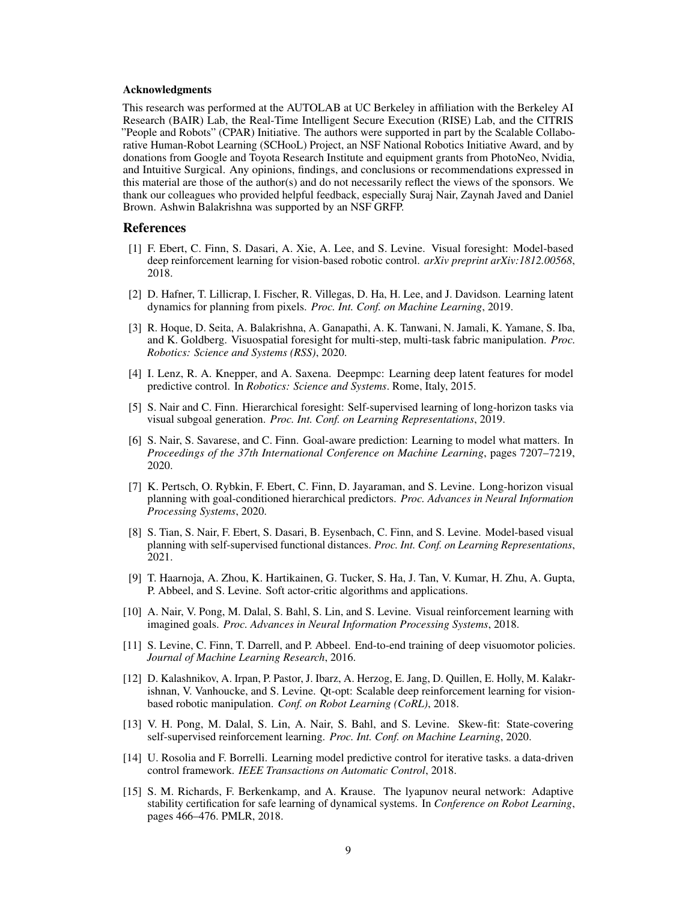#### <span id="page-8-0"></span>Acknowledgments

This research was performed at the AUTOLAB at UC Berkeley in affiliation with the Berkeley AI Research (BAIR) Lab, the Real-Time Intelligent Secure Execution (RISE) Lab, and the CITRIS "People and Robots" (CPAR) Initiative. The authors were supported in part by the Scalable Collaborative Human-Robot Learning (SCHooL) Project, an NSF National Robotics Initiative Award, and by donations from Google and Toyota Research Institute and equipment grants from PhotoNeo, Nvidia, and Intuitive Surgical. Any opinions, findings, and conclusions or recommendations expressed in this material are those of the author(s) and do not necessarily reflect the views of the sponsors. We thank our colleagues who provided helpful feedback, especially Suraj Nair, Zaynah Javed and Daniel Brown. Ashwin Balakrishna was supported by an NSF GRFP.

#### References

- [1] F. Ebert, C. Finn, S. Dasari, A. Xie, A. Lee, and S. Levine. Visual foresight: Model-based deep reinforcement learning for vision-based robotic control. *arXiv preprint arXiv:1812.00568*, 2018.
- [2] D. Hafner, T. Lillicrap, I. Fischer, R. Villegas, D. Ha, H. Lee, and J. Davidson. Learning latent dynamics for planning from pixels. *Proc. Int. Conf. on Machine Learning*, 2019.
- [3] R. Hoque, D. Seita, A. Balakrishna, A. Ganapathi, A. K. Tanwani, N. Jamali, K. Yamane, S. Iba, and K. Goldberg. Visuospatial foresight for multi-step, multi-task fabric manipulation. *Proc. Robotics: Science and Systems (RSS)*, 2020.
- [4] I. Lenz, R. A. Knepper, and A. Saxena. Deepmpc: Learning deep latent features for model predictive control. In *Robotics: Science and Systems*. Rome, Italy, 2015.
- [5] S. Nair and C. Finn. Hierarchical foresight: Self-supervised learning of long-horizon tasks via visual subgoal generation. *Proc. Int. Conf. on Learning Representations*, 2019.
- [6] S. Nair, S. Savarese, and C. Finn. Goal-aware prediction: Learning to model what matters. In *Proceedings of the 37th International Conference on Machine Learning*, pages 7207–7219, 2020.
- [7] K. Pertsch, O. Rybkin, F. Ebert, C. Finn, D. Jayaraman, and S. Levine. Long-horizon visual planning with goal-conditioned hierarchical predictors. *Proc. Advances in Neural Information Processing Systems*, 2020.
- [8] S. Tian, S. Nair, F. Ebert, S. Dasari, B. Eysenbach, C. Finn, and S. Levine. Model-based visual planning with self-supervised functional distances. *Proc. Int. Conf. on Learning Representations*, 2021.
- [9] T. Haarnoja, A. Zhou, K. Hartikainen, G. Tucker, S. Ha, J. Tan, V. Kumar, H. Zhu, A. Gupta, P. Abbeel, and S. Levine. Soft actor-critic algorithms and applications.
- [10] A. Nair, V. Pong, M. Dalal, S. Bahl, S. Lin, and S. Levine. Visual reinforcement learning with imagined goals. *Proc. Advances in Neural Information Processing Systems*, 2018.
- [11] S. Levine, C. Finn, T. Darrell, and P. Abbeel. End-to-end training of deep visuomotor policies. *Journal of Machine Learning Research*, 2016.
- [12] D. Kalashnikov, A. Irpan, P. Pastor, J. Ibarz, A. Herzog, E. Jang, D. Quillen, E. Holly, M. Kalakrishnan, V. Vanhoucke, and S. Levine. Qt-opt: Scalable deep reinforcement learning for visionbased robotic manipulation. *Conf. on Robot Learning (CoRL)*, 2018.
- [13] V. H. Pong, M. Dalal, S. Lin, A. Nair, S. Bahl, and S. Levine. Skew-fit: State-covering self-supervised reinforcement learning. *Proc. Int. Conf. on Machine Learning*, 2020.
- [14] U. Rosolia and F. Borrelli. Learning model predictive control for iterative tasks. a data-driven control framework. *IEEE Transactions on Automatic Control*, 2018.
- [15] S. M. Richards, F. Berkenkamp, and A. Krause. The lyapunov neural network: Adaptive stability certification for safe learning of dynamical systems. In *Conference on Robot Learning*, pages 466–476. PMLR, 2018.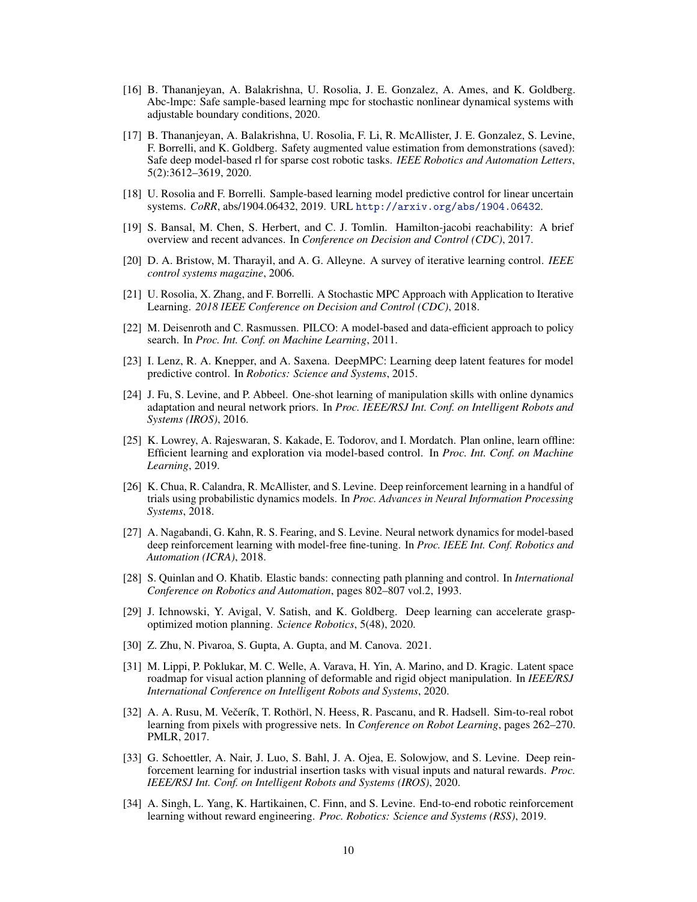- <span id="page-9-0"></span>[16] B. Thananjeyan, A. Balakrishna, U. Rosolia, J. E. Gonzalez, A. Ames, and K. Goldberg. Abc-lmpc: Safe sample-based learning mpc for stochastic nonlinear dynamical systems with adjustable boundary conditions, 2020.
- [17] B. Thananjeyan, A. Balakrishna, U. Rosolia, F. Li, R. McAllister, J. E. Gonzalez, S. Levine, F. Borrelli, and K. Goldberg. Safety augmented value estimation from demonstrations (saved): Safe deep model-based rl for sparse cost robotic tasks. *IEEE Robotics and Automation Letters*, 5(2):3612–3619, 2020.
- [18] U. Rosolia and F. Borrelli. Sample-based learning model predictive control for linear uncertain systems. *CoRR*, abs/1904.06432, 2019. URL <http://arxiv.org/abs/1904.06432>.
- [19] S. Bansal, M. Chen, S. Herbert, and C. J. Tomlin. Hamilton-jacobi reachability: A brief overview and recent advances. In *Conference on Decision and Control (CDC)*, 2017.
- [20] D. A. Bristow, M. Tharayil, and A. G. Alleyne. A survey of iterative learning control. *IEEE control systems magazine*, 2006.
- [21] U. Rosolia, X. Zhang, and F. Borrelli. A Stochastic MPC Approach with Application to Iterative Learning. *2018 IEEE Conference on Decision and Control (CDC)*, 2018.
- [22] M. Deisenroth and C. Rasmussen. PILCO: A model-based and data-efficient approach to policy search. In *Proc. Int. Conf. on Machine Learning*, 2011.
- [23] I. Lenz, R. A. Knepper, and A. Saxena. DeepMPC: Learning deep latent features for model predictive control. In *Robotics: Science and Systems*, 2015.
- [24] J. Fu, S. Levine, and P. Abbeel. One-shot learning of manipulation skills with online dynamics adaptation and neural network priors. In *Proc. IEEE/RSJ Int. Conf. on Intelligent Robots and Systems (IROS)*, 2016.
- [25] K. Lowrey, A. Rajeswaran, S. Kakade, E. Todorov, and I. Mordatch. Plan online, learn offline: Efficient learning and exploration via model-based control. In *Proc. Int. Conf. on Machine Learning*, 2019.
- [26] K. Chua, R. Calandra, R. McAllister, and S. Levine. Deep reinforcement learning in a handful of trials using probabilistic dynamics models. In *Proc. Advances in Neural Information Processing Systems*, 2018.
- [27] A. Nagabandi, G. Kahn, R. S. Fearing, and S. Levine. Neural network dynamics for model-based deep reinforcement learning with model-free fine-tuning. In *Proc. IEEE Int. Conf. Robotics and Automation (ICRA)*, 2018.
- [28] S. Quinlan and O. Khatib. Elastic bands: connecting path planning and control. In *International Conference on Robotics and Automation*, pages 802–807 vol.2, 1993.
- [29] J. Ichnowski, Y. Avigal, V. Satish, and K. Goldberg. Deep learning can accelerate graspoptimized motion planning. *Science Robotics*, 5(48), 2020.
- [30] Z. Zhu, N. Pivaroa, S. Gupta, A. Gupta, and M. Canova. 2021.
- [31] M. Lippi, P. Poklukar, M. C. Welle, A. Varava, H. Yin, A. Marino, and D. Kragic. Latent space roadmap for visual action planning of deformable and rigid object manipulation. In *IEEE/RSJ International Conference on Intelligent Robots and Systems*, 2020.
- [32] A. A. Rusu, M. Večerík, T. Rothörl, N. Heess, R. Pascanu, and R. Hadsell. Sim-to-real robot learning from pixels with progressive nets. In *Conference on Robot Learning*, pages 262–270. PMLR, 2017.
- [33] G. Schoettler, A. Nair, J. Luo, S. Bahl, J. A. Ojea, E. Solowjow, and S. Levine. Deep reinforcement learning for industrial insertion tasks with visual inputs and natural rewards. *Proc. IEEE/RSJ Int. Conf. on Intelligent Robots and Systems (IROS)*, 2020.
- [34] A. Singh, L. Yang, K. Hartikainen, C. Finn, and S. Levine. End-to-end robotic reinforcement learning without reward engineering. *Proc. Robotics: Science and Systems (RSS)*, 2019.